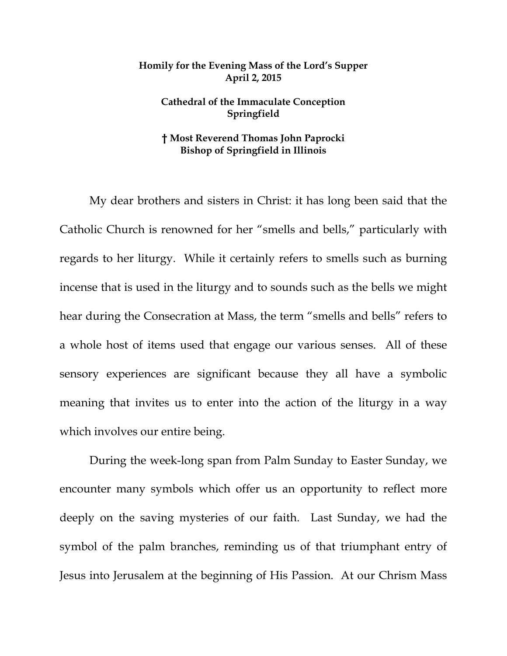## **Homily for the Evening Mass of the Lord's Supper April 2, 2015**

## **Cathedral of the Immaculate Conception Springfield**

## **† Most Reverend Thomas John Paprocki Bishop of Springfield in Illinois**

My dear brothers and sisters in Christ: it has long been said that the Catholic Church is renowned for her "smells and bells," particularly with regards to her liturgy. While it certainly refers to smells such as burning incense that is used in the liturgy and to sounds such as the bells we might hear during the Consecration at Mass, the term "smells and bells" refers to a whole host of items used that engage our various senses. All of these sensory experiences are significant because they all have a symbolic meaning that invites us to enter into the action of the liturgy in a way which involves our entire being.

 During the week-long span from Palm Sunday to Easter Sunday, we encounter many symbols which offer us an opportunity to reflect more deeply on the saving mysteries of our faith. Last Sunday, we had the symbol of the palm branches, reminding us of that triumphant entry of Jesus into Jerusalem at the beginning of His Passion. At our Chrism Mass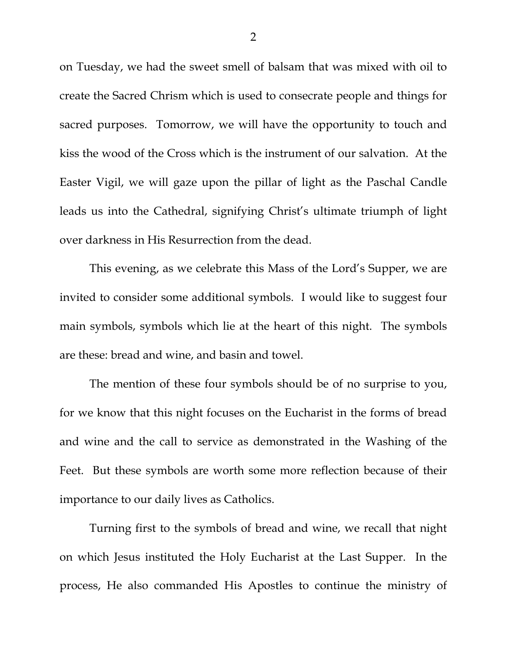on Tuesday, we had the sweet smell of balsam that was mixed with oil to create the Sacred Chrism which is used to consecrate people and things for sacred purposes. Tomorrow, we will have the opportunity to touch and kiss the wood of the Cross which is the instrument of our salvation. At the Easter Vigil, we will gaze upon the pillar of light as the Paschal Candle leads us into the Cathedral, signifying Christ's ultimate triumph of light over darkness in His Resurrection from the dead.

 This evening, as we celebrate this Mass of the Lord's Supper, we are invited to consider some additional symbols. I would like to suggest four main symbols, symbols which lie at the heart of this night. The symbols are these: bread and wine, and basin and towel.

 The mention of these four symbols should be of no surprise to you, for we know that this night focuses on the Eucharist in the forms of bread and wine and the call to service as demonstrated in the Washing of the Feet. But these symbols are worth some more reflection because of their importance to our daily lives as Catholics.

 Turning first to the symbols of bread and wine, we recall that night on which Jesus instituted the Holy Eucharist at the Last Supper. In the process, He also commanded His Apostles to continue the ministry of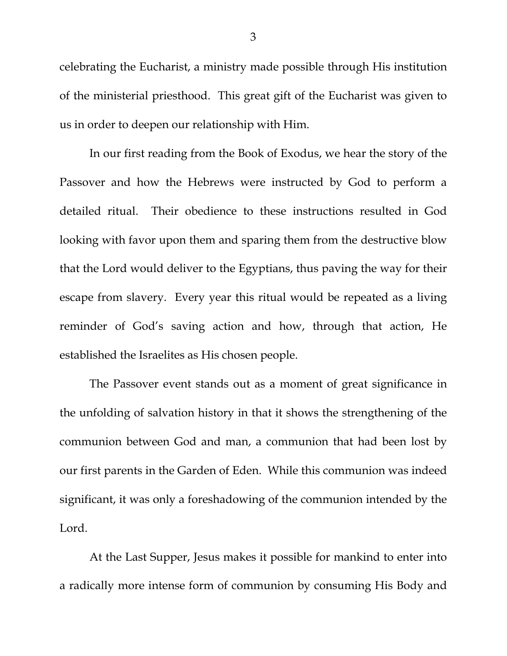celebrating the Eucharist, a ministry made possible through His institution of the ministerial priesthood. This great gift of the Eucharist was given to us in order to deepen our relationship with Him.

 In our first reading from the Book of Exodus, we hear the story of the Passover and how the Hebrews were instructed by God to perform a detailed ritual. Their obedience to these instructions resulted in God looking with favor upon them and sparing them from the destructive blow that the Lord would deliver to the Egyptians, thus paving the way for their escape from slavery. Every year this ritual would be repeated as a living reminder of God's saving action and how, through that action, He established the Israelites as His chosen people.

 The Passover event stands out as a moment of great significance in the unfolding of salvation history in that it shows the strengthening of the communion between God and man, a communion that had been lost by our first parents in the Garden of Eden. While this communion was indeed significant, it was only a foreshadowing of the communion intended by the Lord.

 At the Last Supper, Jesus makes it possible for mankind to enter into a radically more intense form of communion by consuming His Body and

3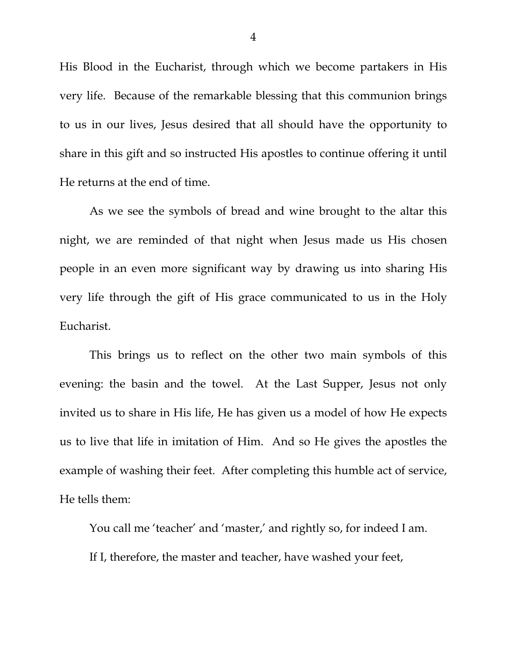His Blood in the Eucharist, through which we become partakers in His very life. Because of the remarkable blessing that this communion brings to us in our lives, Jesus desired that all should have the opportunity to share in this gift and so instructed His apostles to continue offering it until He returns at the end of time.

 As we see the symbols of bread and wine brought to the altar this night, we are reminded of that night when Jesus made us His chosen people in an even more significant way by drawing us into sharing His very life through the gift of His grace communicated to us in the Holy Eucharist.

 This brings us to reflect on the other two main symbols of this evening: the basin and the towel. At the Last Supper, Jesus not only invited us to share in His life, He has given us a model of how He expects us to live that life in imitation of Him. And so He gives the apostles the example of washing their feet. After completing this humble act of service, He tells them:

You call me 'teacher' and 'master,' and rightly so, for indeed I am. If I, therefore, the master and teacher, have washed your feet,

4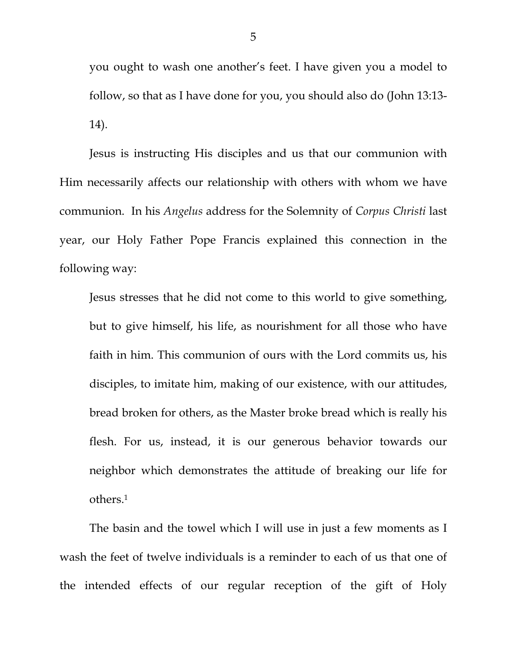you ought to wash one another's feet. I have given you a model to follow, so that as I have done for you, you should also do (John 13:13- 14).

Jesus is instructing His disciples and us that our communion with Him necessarily affects our relationship with others with whom we have communion. In his *Angelus* address for the Solemnity of *Corpus Christi* last year, our Holy Father Pope Francis explained this connection in the following way:

Jesus stresses that he did not come to this world to give something, but to give himself, his life, as nourishment for all those who have faith in him. This communion of ours with the Lord commits us, his disciples, to imitate him, making of our existence, with our attitudes, bread broken for others, as the Master broke bread which is really his flesh. For us, instead, it is our generous behavior towards our neighbor which demonstrates the attitude of breaking our life for others.1

 The basin and the towel which I will use in just a few moments as I wash the feet of twelve individuals is a reminder to each of us that one of the intended effects of our regular reception of the gift of Holy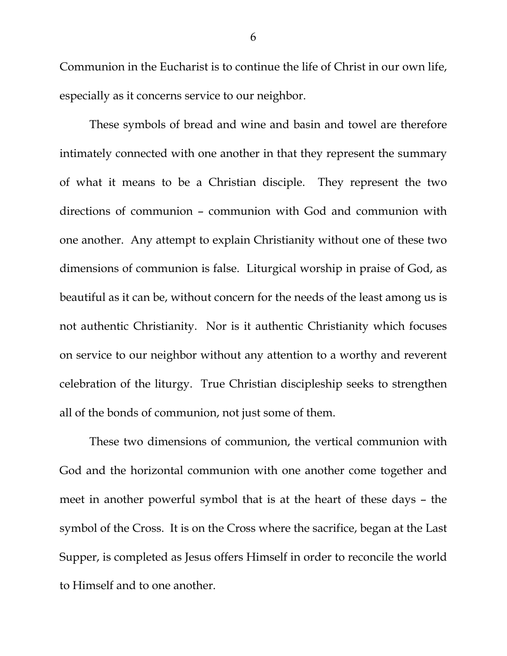Communion in the Eucharist is to continue the life of Christ in our own life, especially as it concerns service to our neighbor.

 These symbols of bread and wine and basin and towel are therefore intimately connected with one another in that they represent the summary of what it means to be a Christian disciple. They represent the two directions of communion – communion with God and communion with one another. Any attempt to explain Christianity without one of these two dimensions of communion is false. Liturgical worship in praise of God, as beautiful as it can be, without concern for the needs of the least among us is not authentic Christianity. Nor is it authentic Christianity which focuses on service to our neighbor without any attention to a worthy and reverent celebration of the liturgy. True Christian discipleship seeks to strengthen all of the bonds of communion, not just some of them.

 These two dimensions of communion, the vertical communion with God and the horizontal communion with one another come together and meet in another powerful symbol that is at the heart of these days – the symbol of the Cross. It is on the Cross where the sacrifice, began at the Last Supper, is completed as Jesus offers Himself in order to reconcile the world to Himself and to one another.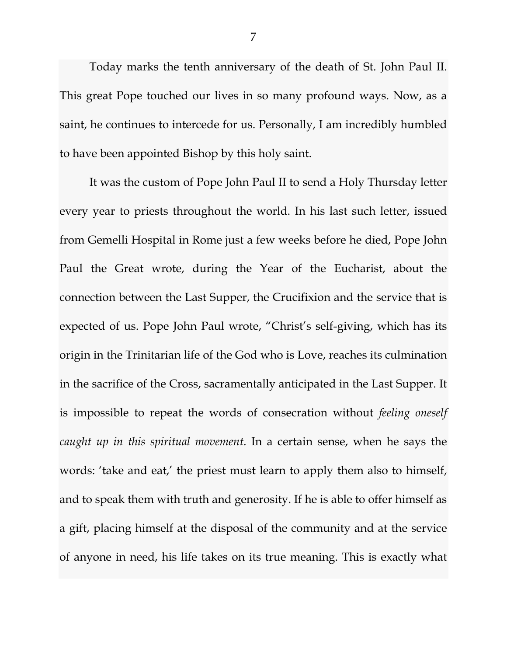Today marks the tenth anniversary of the death of St. John Paul II. This great Pope touched our lives in so many profound ways. Now, as a saint, he continues to intercede for us. Personally, I am incredibly humbled to have been appointed Bishop by this holy saint.

It was the custom of Pope John Paul II to send a Holy Thursday letter every year to priests throughout the world. In his last such letter, issued from Gemelli Hospital in Rome just a few weeks before he died, Pope John Paul the Great wrote, during the Year of the Eucharist, about the connection between the Last Supper, the Crucifixion and the service that is expected of us. Pope John Paul wrote, "Christ's self-giving, which has its origin in the Trinitarian life of the God who is Love, reaches its culmination in the sacrifice of the Cross, sacramentally anticipated in the Last Supper. It is impossible to repeat the words of consecration without *feeling oneself caught up in this spiritual movement*. In a certain sense, when he says the words: 'take and eat,' the priest must learn to apply them also to himself, and to speak them with truth and generosity. If he is able to offer himself as a gift, placing himself at the disposal of the community and at the service of anyone in need, his life takes on its true meaning. This is exactly what